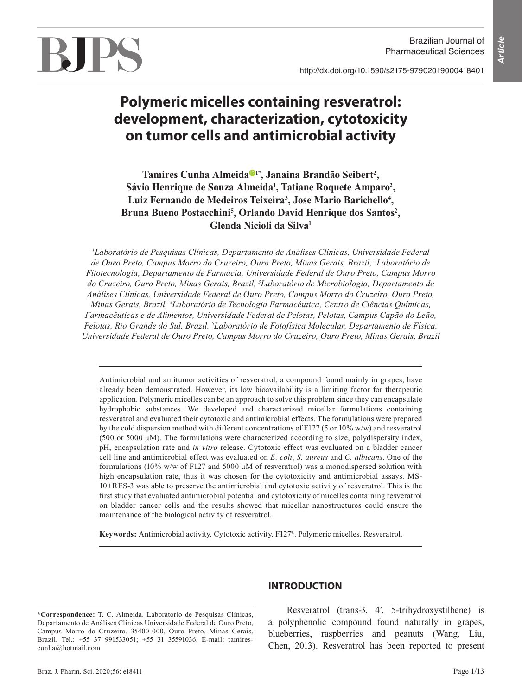Brazilian Journal of Pharmaceutical Sciences

http://dx.doi.org/10.1590/s2175-97902019000418401



# **Polymeric micelles containing resveratrol: development, characterization, cytotoxicity on tumor cells and antimicrobial activity**

Tamires Cunha Almeida<sup>®1\*</sup>, Janaina Brandão Seibert<sup>2</sup>, Sávio Henrique de Souza Almeida<sup>1</sup>, Tatiane Roquete Amparo<sup>2</sup>, Luiz Fernando de Medeiros Teixeira<sup>3</sup>, Jose Mario Barichello<sup>4</sup>, Bruna Bueno Postacchini<sup>5</sup>, Orlando David Henrique dos Santos<sup>2</sup>, **Glenda Nicioli da Silva1**

*1 Laboratório de Pesquisas Clínicas, Departamento de Análises Clínicas, Universidade Federal de Ouro Preto, Campus Morro do Cruzeiro, Ouro Preto, Minas Gerais, Brazil, 2 Laboratório de Fitotecnologia, Departamento de Farmácia, Universidade Federal de Ouro Preto, Campus Morro do Cruzeiro, Ouro Preto, Minas Gerais, Brazil, 3 Laboratório de Microbiologia, Departamento de Análises Clínicas, Universidade Federal de Ouro Preto, Campus Morro do Cruzeiro, Ouro Preto, Minas Gerais, Brazil, 4 Laboratório de Tecnologia Farmacêutica, Centro de Ciências Químicas, Farmacêuticas e de Alimentos, Universidade Federal de Pelotas, Pelotas, Campus Capão do Leão, Pelotas, Rio Grande do Sul, Brazil, 5 Laboratório de Fotofísica Molecular, Departamento de Física, Universidade Federal de Ouro Preto, Campus Morro do Cruzeiro, Ouro Preto, Minas Gerais, Brazil*

Antimicrobial and antitumor activities of resveratrol, a compound found mainly in grapes, have already been demonstrated. However, its low bioavailability is a limiting factor for therapeutic application. Polymeric micelles can be an approach to solve this problem since they can encapsulate hydrophobic substances. We developed and characterized micellar formulations containing resveratrol and evaluated their cytotoxic and antimicrobial effects. The formulations were prepared by the cold dispersion method with different concentrations of F127 (5 or 10% w/w) and resveratrol  $(500 \text{ or } 5000 \mu\text{M})$ . The formulations were characterized according to size, polydispersity index, pH, encapsulation rate and *in vitro* release. Cytotoxic effect was evaluated on a bladder cancer cell line and antimicrobial effect was evaluated on *E. coli*, *S. aureus* and *C. albicans*. One of the formulations (10% w/w of F127 and 5000  $\mu$ M of resveratrol) was a monodispersed solution with high encapsulation rate, thus it was chosen for the cytotoxicity and antimicrobial assays. MS-10+RES-3 was able to preserve the antimicrobial and cytotoxic activity of resveratrol. This is the first study that evaluated antimicrobial potential and cytotoxicity of micelles containing resveratrol on bladder cancer cells and the results showed that micellar nanostructures could ensure the maintenance of the biological activity of resveratrol.

**Keywords:** Antimicrobial activity. Cytotoxic activity. F127®. Polymeric micelles. Resveratrol.

**\*Correspondence:** T. C. Almeida. Laboratório de Pesquisas Clínicas, Departamento de Análises Clínicas Universidade Federal de Ouro Preto, Campus Morro do Cruzeiro. 35400-000, Ouro Preto, Minas Gerais, Brazil. Tel.: +55 37 991533051; +55 31 35591036. E-mail: tamirescunha@hotmail.com

## **INTRODUCTION**

Resveratrol (trans-3, 4', 5-trihydroxystilbene) is a polyphenolic compound found naturally in grapes, blueberries, raspberries and peanuts (Wang, Liu, Chen, 2013). Resveratrol has been reported to present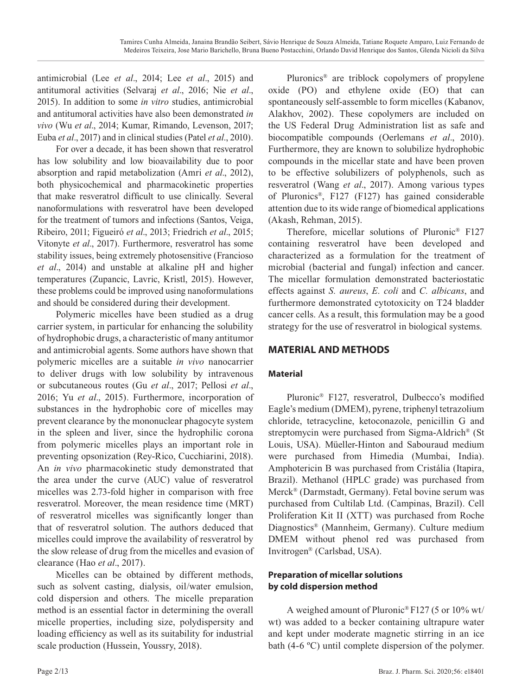antimicrobial (Lee *et al*., 2014; Lee *et al*., 2015) and antitumoral activities (Selvaraj *et al*., 2016; Nie *et al*., 2015). In addition to some *in vitro* studies, antimicrobial and antitumoral activities have also been demonstrated *in vivo* (Wu *et al*., 2014; Kumar, Rimando, Levenson, 2017; Euba *et al*., 2017) and in clinical studies (Patel *et al*., 2010).

For over a decade, it has been shown that resveratrol has low solubility and low bioavailability due to poor absorption and rapid metabolization (Amri *et al*., 2012), both physicochemical and pharmacokinetic properties that make resveratrol difficult to use clinically. Several nanoformulations with resveratrol have been developed for the treatment of tumors and infections (Santos, Veiga, Ribeiro, 2011; Figueiró *et al*., 2013; Friedrich *et al*., 2015; Vitonyte *et al*., 2017). Furthermore, resveratrol has some stability issues, being extremely photosensitive (Francioso *et al*., 2014) and unstable at alkaline pH and higher temperatures (Zupancic, Lavric, Kristl, 2015). However, these problems could be improved using nanoformulations and should be considered during their development.

Polymeric micelles have been studied as a drug carrier system, in particular for enhancing the solubility of hydrophobic drugs, a characteristic of many antitumor and antimicrobial agents. Some authors have shown that polymeric micelles are a suitable *in vivo* nanocarrier to deliver drugs with low solubility by intravenous or subcutaneous routes (Gu *et al*., 2017; Pellosi *et al*., 2016; Yu *et al*., 2015). Furthermore, incorporation of substances in the hydrophobic core of micelles may prevent clearance by the mononuclear phagocyte system in the spleen and liver, since the hydrophilic corona from polymeric micelles plays an important role in preventing opsonization (Rey-Rico, Cucchiarini, 2018). An *in vivo* pharmacokinetic study demonstrated that the area under the curve (AUC) value of resveratrol micelles was 2.73-fold higher in comparison with free resveratrol. Moreover, the mean residence time (MRT) of resveratrol micelles was significantly longer than that of resveratrol solution. The authors deduced that micelles could improve the availability of resveratrol by the slow release of drug from the micelles and evasion of clearance (Hao *et al*., 2017).

Micelles can be obtained by different methods, such as solvent casting, dialysis, oil/water emulsion, cold dispersion and others. The micelle preparation method is an essential factor in determining the overall micelle properties, including size, polydispersity and loading efficiency as well as its suitability for industrial scale production (Hussein, Youssry, 2018).

Pluronics® are triblock copolymers of propylene oxide (PO) and ethylene oxide (EO) that can spontaneously self-assemble to form micelles (Kabanov, Alakhov, 2002). These copolymers are included on the US Federal Drug Administration list as safe and biocompatible compounds (Oerlemans *et al*., 2010). Furthermore, they are known to solubilize hydrophobic compounds in the micellar state and have been proven to be effective solubilizers of polyphenols, such as resveratrol (Wang *et al*., 2017). Among various types of Pluronics®, F127 (F127) has gained considerable attention due to its wide range of biomedical applications (Akash, Rehman, 2015).

Therefore, micellar solutions of Pluronic® F127 containing resveratrol have been developed and characterized as a formulation for the treatment of microbial (bacterial and fungal) infection and cancer. The micellar formulation demonstrated bacteriostatic effects against *S. aureus*, *E. coli* and *C. albicans*, and furthermore demonstrated cytotoxicity on T24 bladder cancer cells. As a result, this formulation may be a good strategy for the use of resveratrol in biological systems.

# **MATERIAL AND METHODS**

# **Material**

Pluronic® F127, resveratrol, Dulbecco's modified Eagle's medium (DMEM), pyrene, triphenyl tetrazolium chloride, tetracycline, ketoconazole, penicillin G and streptomycin were purchased from Sigma-Aldrich® (St Louis, USA). Müeller-Hinton and Sabouraud medium were purchased from Himedia (Mumbai, India). Amphotericin B was purchased from Cristália (Itapira, Brazil). Methanol (HPLC grade) was purchased from Merck® (Darmstadt, Germany). Fetal bovine serum was purchased from Cultilab Ltd. (Campinas, Brazil). Cell Proliferation Kit II (XTT) was purchased from Roche Diagnostics® (Mannheim, Germany). Culture medium DMEM without phenol red was purchased from Invitrogen® (Carlsbad, USA).

# **Preparation of micellar solutions by cold dispersion method**

A weighed amount of Pluronic® F127 (5 or 10% wt/ wt) was added to a becker containing ultrapure water and kept under moderate magnetic stirring in an ice bath (4-6 ºC) until complete dispersion of the polymer.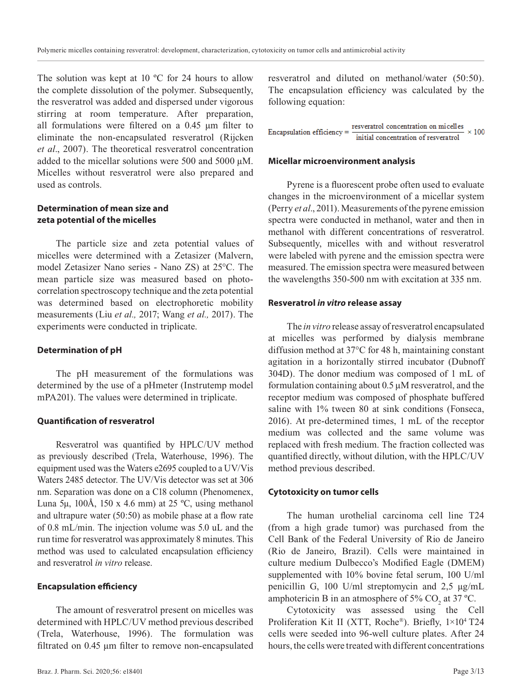The solution was kept at 10 °C for 24 hours to allow the complete dissolution of the polymer. Subsequently, the resveratrol was added and dispersed under vigorous stirring at room temperature. After preparation, all formulations were filtered on a 0.45 µm filter to eliminate the non-encapsulated resveratrol (Rijcken *et al*., 2007). The theoretical resveratrol concentration added to the micellar solutions were 500 and 5000 µM. Micelles without resveratrol were also prepared and used as controls.

## **Determination of mean size and zeta potential of the micelles**

The particle size and zeta potential values of micelles were determined with a Zetasizer (Malvern, model Zetasizer Nano series - Nano ZS) at 25°C. The mean particle size was measured based on photocorrelation spectroscopy technique and the zeta potential was determined based on electrophoretic mobility measurements (Liu *et al.,* 2017; Wang *et al.,* 2017). The experiments were conducted in triplicate.

#### **Determination of pH**

The pH measurement of the formulations was determined by the use of a pHmeter (Instrutemp model mPA201). The values were determined in triplicate.

#### **Quantification of resveratrol**

Resveratrol was quantified by HPLC/UV method as previously described (Trela, Waterhouse, 1996). The equipment used was the Waters e2695 coupled to a UV/Vis Waters 2485 detector. The UV/Vis detector was set at 306 nm. Separation was done on a C18 column (Phenomenex, Luna 5µ, 100Å, 150 x 4.6 mm) at 25 °C, using methanol and ultrapure water (50:50) as mobile phase at a flow rate of 0.8 mL/min. The injection volume was 5.0 uL and the run time for resveratrol was approximately 8 minutes. This method was used to calculated encapsulation efficiency and resveratrol *in vitro* release.

#### **Encapsulation efficiency**

The amount of resveratrol present on micelles was determined with HPLC/UV method previous described (Trela, Waterhouse, 1996). The formulation was filtrated on 0.45 µm filter to remove non-encapsulated

resveratrol and diluted on methanol/water (50:50). The encapsulation efficiency was calculated by the following equation:

resveratrol concentration on micelles Encapsulation efficiency =  $\times 100$ initial concentration of resveratrol

#### **Micellar microenvironment analysis**

Pyrene is a fluorescent probe often used to evaluate changes in the microenvironment of a micellar system (Perry *et al*., 2011). Measurements of the pyrene emission spectra were conducted in methanol, water and then in methanol with different concentrations of resveratrol. Subsequently, micelles with and without resveratrol were labeled with pyrene and the emission spectra were measured. The emission spectra were measured between the wavelengths 350-500 nm with excitation at 335 nm.

#### **Resveratrol** *in vitro* **release assay**

The *in vitro* release assay of resveratrol encapsulated at micelles was performed by dialysis membrane diffusion method at 37°C for 48 h, maintaining constant agitation in a horizontally stirred incubator (Dubnoff 304D). The donor medium was composed of 1 mL of formulation containing about 0.5 µM resveratrol, and the receptor medium was composed of phosphate buffered saline with 1% tween 80 at sink conditions (Fonseca, 2016). At pre-determined times, 1 mL of the receptor medium was collected and the same volume was replaced with fresh medium. The fraction collected was quantified directly, without dilution, with the HPLC/UV method previous described.

#### **Cytotoxicity on tumor cells**

The human urothelial carcinoma cell line T24 (from a high grade tumor) was purchased from the Cell Bank of the Federal University of Rio de Janeiro (Rio de Janeiro, Brazil). Cells were maintained in culture medium Dulbecco's Modified Eagle (DMEM) supplemented with 10% bovine fetal serum, 100 U/ml penicillin G, 100 U/ml streptomycin and 2,5 µg/mL amphotericin B in an atmosphere of  $5\%$  CO<sub>2</sub> at 37 °C.

Cytotoxicity was assessed using the Cell Proliferation Kit II (XTT, Roche®). Briefly, 1×104 T24 cells were seeded into 96-well culture plates. After 24 hours, the cells were treated with different concentrations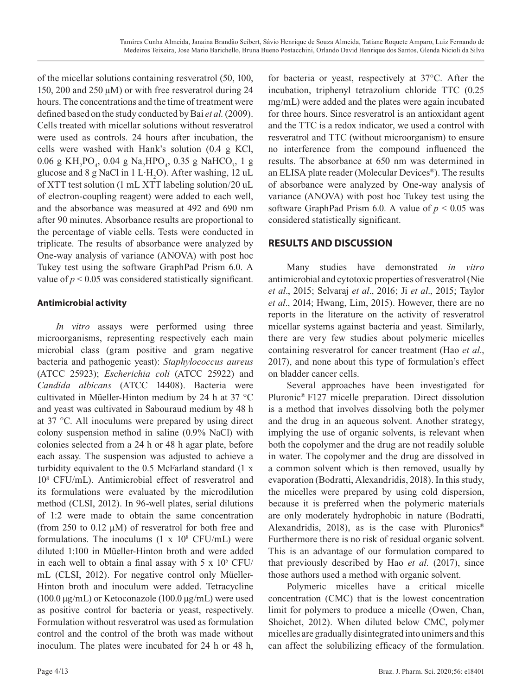of the micellar solutions containing resveratrol (50, 100, 150, 200 and 250 µM) or with free resveratrol during 24 hours. The concentrations and the time of treatment were defined based on the study conducted by Bai *et al.* (2009). Cells treated with micellar solutions without resveratrol were used as controls. 24 hours after incubation, the cells were washed with Hank's solution (0.4 g KCl,  $0.06$ g $\mathrm{KH_{2}PO_{4}},$ <br/> $0.04$ g $\mathrm{Na_{2}HPO_{4}},$   $0.35$ g $\mathrm{NaHCO_{3}},$ <br/> $1$ gglucose and 8 g NaCl in 1 L·H<sub>2</sub>O). After washing, 12 uL of XTT test solution (1 mL XTT labeling solution/20 uL of electron-coupling reagent) were added to each well, and the absorbance was measured at 492 and 690 nm after 90 minutes. Absorbance results are proportional to the percentage of viable cells. Tests were conducted in triplicate. The results of absorbance were analyzed by One-way analysis of variance (ANOVA) with post hoc Tukey test using the software GraphPad Prism 6.0. A value of  $p < 0.05$  was considered statistically significant.

# **Antimicrobial activity**

*In vitro* assays were performed using three microorganisms, representing respectively each main microbial class (gram positive and gram negative bacteria and pathogenic yeast): *Staphylococcus aureus*  (ATCC 25923); *Escherichia coli* (ATCC 25922) and *Candida albicans* (ATCC 14408). Bacteria were cultivated in Müeller-Hinton medium by 24 h at 37 °C and yeast was cultivated in Sabouraud medium by 48 h at 37 °C. All inoculums were prepared by using direct colony suspension method in saline (0.9% NaCl) with colonies selected from a 24 h or 48 h agar plate, before each assay. The suspension was adjusted to achieve a turbidity equivalent to the 0.5 McFarland standard (1 x 108 CFU/mL). Antimicrobial effect of resveratrol and its formulations were evaluated by the microdilution method (CLSI, 2012). In 96-well plates, serial dilutions of 1:2 were made to obtain the same concentration (from 250 to 0.12  $\mu$ M) of resveratrol for both free and formulations. The inoculums  $(1 \times 10^8 \text{ CFU/mL})$  were diluted 1:100 in Müeller-Hinton broth and were added in each well to obtain a final assay with  $5 \times 10^5$  CFU/ mL (CLSI, 2012). For negative control only Müeller-Hinton broth and inoculum were added. Tetracycline (100.0 µg/mL) or Ketoconazole (100.0 µg/mL) were used as positive control for bacteria or yeast, respectively. Formulation without resveratrol was used as formulation control and the control of the broth was made without inoculum. The plates were incubated for 24 h or 48 h,

for bacteria or yeast, respectively at 37°C. After the incubation, triphenyl tetrazolium chloride TTC (0.25 mg/mL) were added and the plates were again incubated for three hours. Since resveratrol is an antioxidant agent and the TTC is a redox indicator, we used a control with resveratrol and TTC (without microorganism) to ensure no interference from the compound influenced the results. The absorbance at 650 nm was determined in an ELISA plate reader (Molecular Devices®). The results of absorbance were analyzed by One-way analysis of variance (ANOVA) with post hoc Tukey test using the software GraphPad Prism 6.0. A value of  $p < 0.05$  was considered statistically significant.

# **RESULTS AND DISCUSSION**

Many studies have demonstrated *in vitro* antimicrobial and cytotoxic properties of resveratrol (Nie *et al*., 2015; Selvaraj *et al*., 2016; Ji *et al*., 2015; Taylor *et al*., 2014; Hwang, Lim, 2015). However, there are no reports in the literature on the activity of resveratrol micellar systems against bacteria and yeast. Similarly, there are very few studies about polymeric micelles containing resveratrol for cancer treatment (Hao *et al*., 2017), and none about this type of formulation's effect on bladder cancer cells.

Several approaches have been investigated for Pluronic® F127 micelle preparation. Direct dissolution is a method that involves dissolving both the polymer and the drug in an aqueous solvent. Another strategy, implying the use of organic solvents, is relevant when both the copolymer and the drug are not readily soluble in water. The copolymer and the drug are dissolved in a common solvent which is then removed, usually by evaporation (Bodratti, Alexandridis, 2018). In this study, the micelles were prepared by using cold dispersion, because it is preferred when the polymeric materials are only moderately hydrophobic in nature (Bodratti, Alexandridis, 2018), as is the case with Pluronics<sup>®</sup> Furthermore there is no risk of residual organic solvent. This is an advantage of our formulation compared to that previously described by Hao *et al.* (2017), since those authors used a method with organic solvent.

Polymeric micelles have a critical micelle concentration (CMC) that is the lowest concentration limit for polymers to produce a micelle (Owen, Chan, Shoichet, 2012). When diluted below CMC, polymer micelles are gradually disintegrated into unimers and this can affect the solubilizing efficacy of the formulation.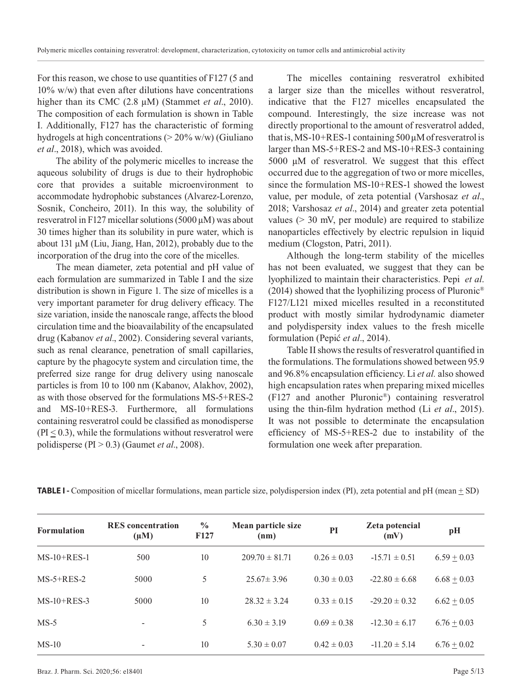For this reason, we chose to use quantities of F127 (5 and 10% w/w) that even after dilutions have concentrations higher than its CMC (2.8  $\mu$ M) (Stammet *et al.*, 2010). The composition of each formulation is shown in Table I. Additionally, F127 has the characteristic of forming hydrogels at high concentrations ( $>$  20% w/w) (Giuliano *et al*., 2018), which was avoided.

The ability of the polymeric micelles to increase the aqueous solubility of drugs is due to their hydrophobic core that provides a suitable microenvironment to accommodate hydrophobic substances (Alvarez-Lorenzo, Sosnik, Concheiro, 2011). In this way, the solubility of resveratrol in F127 micellar solutions (5000 µM) was about 30 times higher than its solubility in pure water, which is about 131 µM (Liu, Jiang, Han, 2012), probably due to the incorporation of the drug into the core of the micelles.

The mean diameter, zeta potential and pH value of each formulation are summarized in Table I and the size distribution is shown in Figure 1. The size of micelles is a very important parameter for drug delivery efficacy. The size variation, inside the nanoscale range, affects the blood circulation time and the bioavailability of the encapsulated drug (Kabanov *et al*., 2002). Considering several variants, such as renal clearance, penetration of small capillaries, capture by the phagocyte system and circulation time, the preferred size range for drug delivery using nanoscale particles is from 10 to 100 nm (Kabanov, Alakhov, 2002), as with those observed for the formulations MS-5+RES-2 and MS-10+RES-3. Furthermore, all formulations containing resveratrol could be classified as monodisperse  $(PI \leq 0.3)$ , while the formulations without resveratrol were polidisperse (PI > 0.3) (Gaumet *et al*., 2008).

The micelles containing resveratrol exhibited a larger size than the micelles without resveratrol, indicative that the F127 micelles encapsulated the compound. Interestingly, the size increase was not directly proportional to the amount of resveratrol added, that is, MS-10+RES-1 containing  $500 \mu$ M of resveratrol is larger than MS-5+RES-2 and MS-10+RES-3 containing 5000 µM of resveratrol. We suggest that this effect occurred due to the aggregation of two or more micelles, since the formulation MS-10+RES-1 showed the lowest value, per module, of zeta potential (Varshosaz *et al*., 2018; Varshosaz *et al*., 2014) and greater zeta potential values (> 30 mV, per module) are required to stabilize nanoparticles effectively by electric repulsion in liquid medium (Clogston, Patri, 2011).

Although the long-term stability of the micelles has not been evaluated, we suggest that they can be lyophilized to maintain their characteristics. Pepić *et al*. (2014) showed that the lyophilizing process of Pluronic<sup>®</sup> F127/L121 mixed micelles resulted in a reconstituted product with mostly similar hydrodynamic diameter and polydispersity index values to the fresh micelle formulation (Pepić *et al*., 2014).

Table II shows the results of resveratrol quantified in the formulations. The formulations showed between 95.9 and 96.8% encapsulation efficiency. Li *et al.* also showed high encapsulation rates when preparing mixed micelles (F127 and another Pluronic®) containing resveratrol using the thin-film hydration method (Li *et al*., 2015). It was not possible to determinate the encapsulation efficiency of MS-5+RES-2 due to instability of the formulation one week after preparation.

| <b>TABLE I</b> - Composition of micellar formulations, mean particle size, polydispersion index (PI), zeta potential and pH (mean $\pm$ SD) |  |  |  |  |  |
|---------------------------------------------------------------------------------------------------------------------------------------------|--|--|--|--|--|
|---------------------------------------------------------------------------------------------------------------------------------------------|--|--|--|--|--|

| <b>Formulation</b> | <b>RES</b> concentration<br>$(\mu M)$ | $\frac{6}{6}$<br>F <sub>127</sub> | Mean particle size<br>(nm) | PI              | Zeta potencial<br>(mV) | pH              |
|--------------------|---------------------------------------|-----------------------------------|----------------------------|-----------------|------------------------|-----------------|
| $MS-10+RES-1$      | 500                                   | 10                                | $209.70 \pm 81.71$         | $0.26 \pm 0.03$ | $-15.71 \pm 0.51$      | $6.59 \pm 0.03$ |
| $MS-5+RES-2$       | 5000                                  | 5                                 | $25.67 \pm 3.96$           | $0.30 \pm 0.03$ | $-22.80 \pm 6.68$      | $6.68 \pm 0.03$ |
| $MS-10+RES-3$      | 5000                                  | 10                                | $28.32 \pm 3.24$           | $0.33 \pm 0.15$ | $-29.20 \pm 0.32$      | $6.62 \pm 0.05$ |
| $MS-5$             |                                       | 5                                 | $6.30 \pm 3.19$            | $0.69 \pm 0.38$ | $-12.30 \pm 6.17$      | $6.76 \pm 0.03$ |
| $MS-10$            |                                       | 10                                | $5.30 \pm 0.07$            | $0.42 \pm 0.03$ | $-11.20 \pm 5.14$      | $6.76 \pm 0.02$ |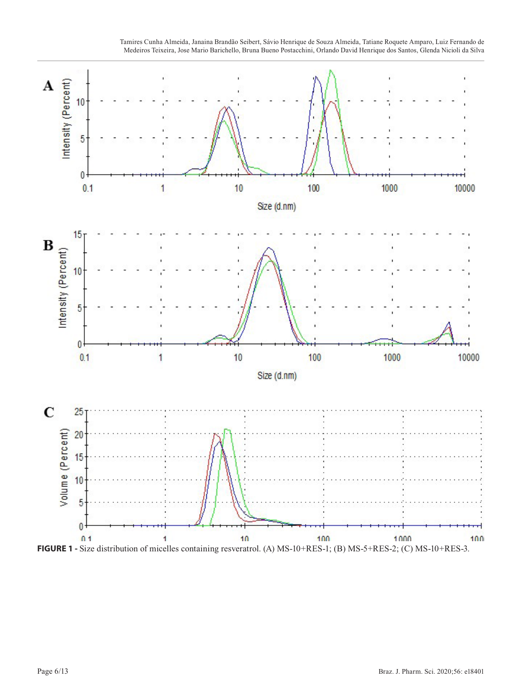

Tamires Cunha Almeida, Janaina Brandão Seibert, Sávio Henrique de Souza Almeida, Tatiane Roquete Amparo, Luiz Fernando de Medeiros Teixeira, Jose Mario Barichello, Bruna Bueno Postacchini, Orlando David Henrique dos Santos, Glenda Nicioli da Silva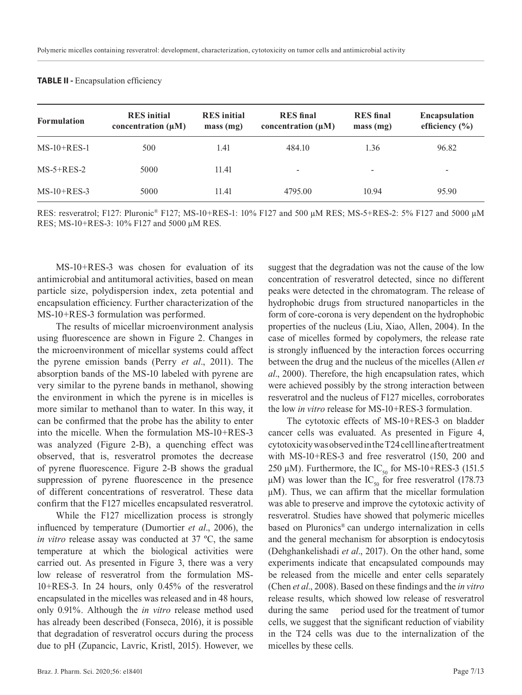| <b>Formulation</b> | <b>RES</b> initial<br>concentration $(\mu M)$ | <b>RES</b> initial<br>mass(mg) | <b>RES</b> final<br>concentration $(\mu M)$ | <b>RES</b> final<br>mass(mg) | <b>Encapsulation</b><br>efficiency $(\% )$ |
|--------------------|-----------------------------------------------|--------------------------------|---------------------------------------------|------------------------------|--------------------------------------------|
| $MS-10+RES-1$      | 500                                           | 1.41                           | 484.10                                      | 1.36                         | 96.82                                      |
| $MS-5+RES-2$       | 5000                                          | 11.41                          | $\overline{\phantom{0}}$                    | $\overline{\phantom{a}}$     | $\overline{\phantom{a}}$                   |
| $MS-10+RES-3$      | 5000                                          | 11.41                          | 4795.00                                     | 10.94                        | 95.90                                      |

#### **TABLE II - Encapsulation efficiency**

RES: resveratrol; F127: Pluronic® F127; MS-10+RES-1: 10% F127 and 500 µM RES; MS-5+RES-2: 5% F127 and 5000 µM RES; MS-10+RES-3: 10% F127 and 5000 µM RES.

MS-10+RES-3 was chosen for evaluation of its antimicrobial and antitumoral activities, based on mean particle size, polydispersion index, zeta potential and encapsulation efficiency. Further characterization of the MS-10+RES-3 formulation was performed.

The results of micellar microenvironment analysis using fluorescence are shown in Figure 2. Changes in the microenvironment of micellar systems could affect the pyrene emission bands (Perry *et al*., 2011). The absorption bands of the MS-10 labeled with pyrene are very similar to the pyrene bands in methanol, showing the environment in which the pyrene is in micelles is more similar to methanol than to water. In this way, it can be confirmed that the probe has the ability to enter into the micelle. When the formulation MS-10+RES-3 was analyzed (Figure 2-B), a quenching effect was observed, that is, resveratrol promotes the decrease of pyrene fluorescence. Figure 2-B shows the gradual suppression of pyrene fluorescence in the presence of different concentrations of resveratrol. These data confirm that the F127 micelles encapsulated resveratrol.

While the F127 micellization process is strongly influenced by temperature (Dumortier *et al*., 2006), the *in vitro* release assay was conducted at 37 ºC, the same temperature at which the biological activities were carried out. As presented in Figure 3, there was a very low release of resveratrol from the formulation MS-10+RES-3. In 24 hours, only 0.45% of the resveratrol encapsulated in the micelles was released and in 48 hours, only 0.91%. Although the *in vitro* release method used has already been described (Fonseca, 2016), it is possible that degradation of resveratrol occurs during the process due to pH (Zupancic, Lavric, Kristl, 2015). However, we suggest that the degradation was not the cause of the low concentration of resveratrol detected, since no different peaks were detected in the chromatogram. The release of hydrophobic drugs from structured nanoparticles in the form of core-corona is very dependent on the hydrophobic properties of the nucleus (Liu, Xiao, Allen, 2004). In the case of micelles formed by copolymers, the release rate is strongly influenced by the interaction forces occurring between the drug and the nucleus of the micelles (Allen *et al*., 2000). Therefore, the high encapsulation rates, which were achieved possibly by the strong interaction between resveratrol and the nucleus of F127 micelles, corroborates the low *in vitro* release for MS-10+RES-3 formulation.

The cytotoxic effects of MS-10+RES-3 on bladder cancer cells was evaluated. As presented in Figure 4, cytotoxicity was observed in the T24 cell line after treatment with MS-10+RES-3 and free resveratrol (150, 200 and 250  $\mu$ M). Furthermore, the IC<sub>50</sub> for MS-10+RES-3 (151.5)  $\mu$ M) was lower than the IC<sub>50</sub> for free resveratrol (178.73)  $\mu$ M). Thus, we can affirm that the micellar formulation was able to preserve and improve the cytotoxic activity of resveratrol. Studies have showed that polymeric micelles based on Pluronics® can undergo internalization in cells and the general mechanism for absorption is endocytosis (Dehghankelishadi *et al*., 2017). On the other hand, some experiments indicate that encapsulated compounds may be released from the micelle and enter cells separately (Chen *et al*., 2008). Based on these findings and the *in vitro* release results, which showed low release of resveratrol during the same period used for the treatment of tumor cells, we suggest that the significant reduction of viability in the T24 cells was due to the internalization of the micelles by these cells.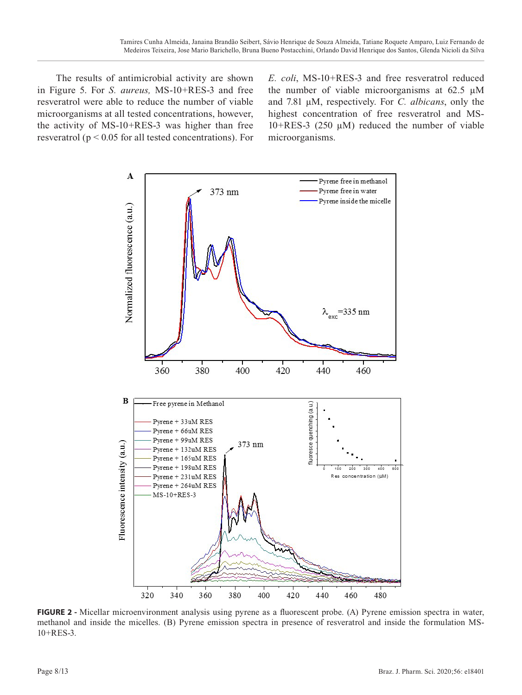The results of antimicrobial activity are shown in Figure 5. For *S. aureus,* MS-10+RES-3 and free resveratrol were able to reduce the number of viable microorganisms at all tested concentrations, however, the activity of MS-10+RES-3 was higher than free resveratrol (p < 0.05 for all tested concentrations). For *E. coli*, MS-10+RES-3 and free resveratrol reduced the number of viable microorganisms at  $62.5 \mu M$ and 7.81 µM, respectively. For *C. albicans*, only the highest concentration of free resveratrol and MS- $10+RES-3$  (250  $\mu$ M) reduced the number of viable microorganisms.



**FIGURE 2 -** Micellar microenvironment analysis using pyrene as a fluorescent probe. (A) Pyrene emission spectra in water, methanol and inside the micelles. (B) Pyrene emission spectra in presence of resveratrol and inside the formulation MS-10+RES-3.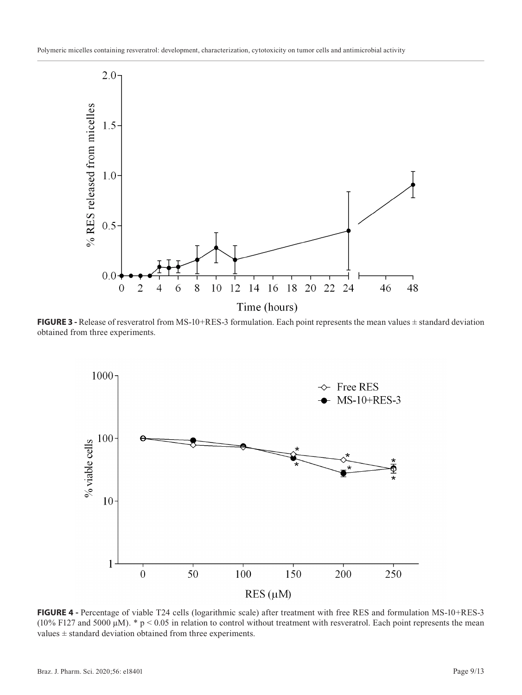

**FIGURE 3** - Release of resveratrol from MS-10+RES-3 formulation. Each point represents the mean values  $\pm$  standard deviation obtained from three experiments.



**FIGURE 4 -** Percentage of viable T24 cells (logarithmic scale) after treatment with free RES and formulation MS-10+RES-3 (10% F127 and 5000  $\mu$ M). \* p < 0.05 in relation to control without treatment with resveratrol. Each point represents the mean values ± standard deviation obtained from three experiments.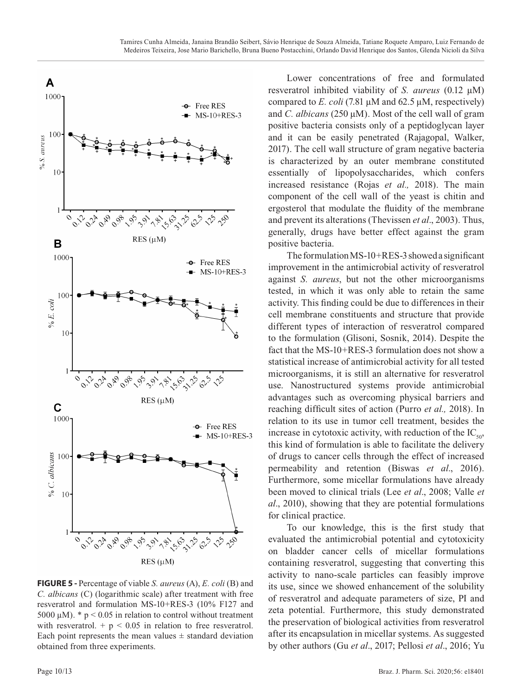

**FIGURE 5 -** Percentage of viable *S. aureus* (A), *E. coli* (B) and *C. albicans* (C) (logarithmic scale) after treatment with free resveratrol and formulation MS-10+RES-3 (10% F127 and 5000  $\mu$ M). \* p < 0.05 in relation to control without treatment with resveratrol.  $+ p < 0.05$  in relation to free resveratrol. Each point represents the mean values  $\pm$  standard deviation obtained from three experiments.

Lower concentrations of free and formulated resveratrol inhibited viability of *S. aureus* (0.12 µM) compared to *E. coli* (7.81 µM and 62.5 µM, respectively) and *C. albicans* (250  $\mu$ M). Most of the cell wall of gram positive bacteria consists only of a peptidoglycan layer and it can be easily penetrated (Rajagopal, Walker, 2017). The cell wall structure of gram negative bacteria is characterized by an outer membrane constituted essentially of lipopolysaccharides, which confers increased resistance (Rojas *et al.,* 2018). The main component of the cell wall of the yeast is chitin and ergosterol that modulate the fluidity of the membrane and prevent its alterations (Thevissen *et al*., 2003). Thus, generally, drugs have better effect against the gram positive bacteria.

The formulation MS-10+RES-3 showed a significant improvement in the antimicrobial activity of resveratrol against *S. aureus*, but not the other microorganisms tested, in which it was only able to retain the same activity. This finding could be due to differences in their cell membrane constituents and structure that provide different types of interaction of resveratrol compared to the formulation (Glisoni, Sosnik, 2014). Despite the fact that the MS-10+RES-3 formulation does not show a statistical increase of antimicrobial activity for all tested microorganisms, it is still an alternative for resveratrol use. Nanostructured systems provide antimicrobial advantages such as overcoming physical barriers and reaching difficult sites of action (Purro *et al.,* 2018). In relation to its use in tumor cell treatment, besides the increase in cytotoxic activity, with reduction of the  $IC_{50}$ , this kind of formulation is able to facilitate the delivery of drugs to cancer cells through the effect of increased permeability and retention (Biswas *et al*., 2016). Furthermore, some micellar formulations have already been moved to clinical trials (Lee *et al*., 2008; Valle *et al*., 2010), showing that they are potential formulations for clinical practice.

To our knowledge, this is the first study that evaluated the antimicrobial potential and cytotoxicity on bladder cancer cells of micellar formulations containing resveratrol, suggesting that converting this activity to nano-scale particles can feasibly improve its use, since we showed enhancement of the solubility of resveratrol and adequate parameters of size, PI and zeta potential. Furthermore, this study demonstrated the preservation of biological activities from resveratrol after its encapsulation in micellar systems. As suggested by other authors (Gu *et al*., 2017; Pellosi *et al*., 2016; Yu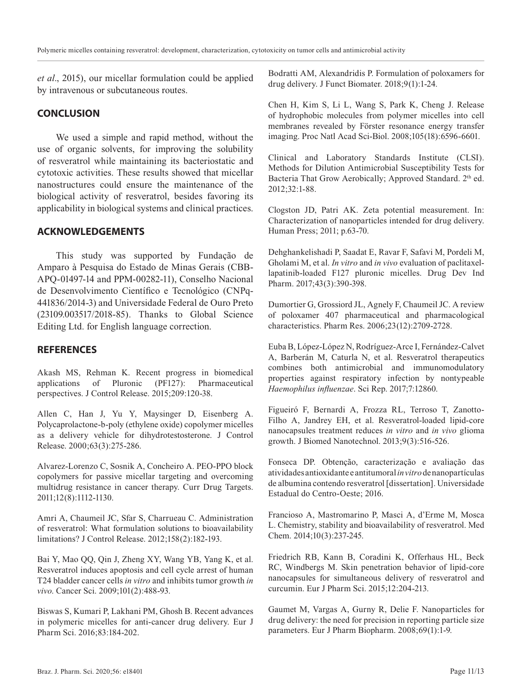*et al*., 2015), our micellar formulation could be applied by intravenous or subcutaneous routes.

### **CONCLUSION**

We used a simple and rapid method, without the use of organic solvents, for improving the solubility of resveratrol while maintaining its bacteriostatic and cytotoxic activities. These results showed that micellar nanostructures could ensure the maintenance of the biological activity of resveratrol, besides favoring its applicability in biological systems and clinical practices.

## **ACKNOWLEDGEMENTS**

This study was supported by Fundação de Amparo à Pesquisa do Estado de Minas Gerais (CBB-APQ-01497-14 and PPM-00282-11), Conselho Nacional de Desenvolvimento Científico e Tecnológico (CNPq-441836/2014-3) and Universidade Federal de Ouro Preto (23109.003517/2018-85). Thanks to Global Science Editing Ltd. for English language correction.

#### **REFERENCES**

Akash MS, Rehman K. Recent progress in biomedical applications of Pluronic (PF127): Pharmaceutical perspectives. J Control Release. 2015;209:120-38.

Allen C, Han J, Yu Y, Maysinger D, Eisenberg A. Polycaprolactone-b-poly (ethylene oxide) copolymer micelles as a delivery vehicle for dihydrotestosterone. J Control Release. 2000;63(3):275-286.

Alvarez-Lorenzo C, Sosnik A, Concheiro A. PEO-PPO block copolymers for passive micellar targeting and overcoming multidrug resistance in cancer therapy. Curr Drug Targets. 2011;12(8):1112-1130.

Amri A, Chaumeil JC, Sfar S, Charrueau C. Administration of resveratrol: What formulation solutions to bioavailability limitations? J Control Release. 2012;158(2):182-193.

Bai Y, Mao QQ, Qin J, Zheng XY, Wang YB, Yang K, et al. Resveratrol induces apoptosis and cell cycle arrest of human T24 bladder cancer cells *in vitro* and inhibits tumor growth *in vivo*. Cancer Sci. 2009;101(2):488-93.

Biswas S, Kumari P, Lakhani PM, Ghosh B. Recent advances in polymeric micelles for anti-cancer drug delivery. Eur J Pharm Sci. 2016;83:184-202.

Bodratti AM, Alexandridis P. Formulation of poloxamers for drug delivery. J Funct Biomater. 2018;9(1):1-24.

Chen H, Kim S, Li L, Wang S, Park K, Cheng J. Release of hydrophobic molecules from polymer micelles into cell membranes revealed by Förster resonance energy transfer imaging. Proc Natl Acad Sci-Biol. 2008;105(18):6596-6601.

Clinical and Laboratory Standards Institute (CLSI). Methods for Dilution Antimicrobial Susceptibility Tests for Bacteria That Grow Aerobically: Approved Standard. 2<sup>th</sup> ed. 2012;32:1-88.

Clogston JD, Patri AK. Zeta potential measurement. In: Characterization of nanoparticles intended for drug delivery. Human Press; 2011; p.63-70.

Dehghankelishadi P, Saadat E, Ravar F, Safavi M, Pordeli M, Gholami M, et al. *In vitro* and *in vivo* evaluation of paclitaxellapatinib-loaded F127 pluronic micelles. Drug Dev Ind Pharm. 2017;43(3):390-398.

Dumortier G, Grossiord JL, Agnely F, Chaumeil JC. A review of poloxamer 407 pharmaceutical and pharmacological characteristics. Pharm Res. 2006;23(12):2709-2728.

Euba B, López-López N, Rodríguez-Arce I, Fernández-Calvet A, Barberán M, Caturla N, et al. Resveratrol therapeutics combines both antimicrobial and immunomodulatory properties against respiratory infection by nontypeable *Haemophilus influenzae*. Sci Rep. 2017;7:12860.

Figueiró F, Bernardi A, Frozza RL, Terroso T, Zanotto-Filho A, Jandrey EH, et al. Resveratrol-loaded lipid-core nanocapsules treatment reduces *in vitro* and *in vivo* glioma growth. J Biomed Nanotechnol. 2013;9(3):516-526.

Fonseca DP. Obtenção, caracterização e avaliação das atividades antioxidante e antitumoral *in vitro* de nanopartículas de albumina contendo resveratrol [dissertation]. Universidade Estadual do Centro-Oeste; 2016.

Francioso A, Mastromarino P, Masci A, d'Erme M, Mosca L. Chemistry, stability and bioavailability of resveratrol. Med Chem. 2014;10(3):237-245.

Friedrich RB, Kann B, Coradini K, Offerhaus HL, Beck RC, Windbergs M. Skin penetration behavior of lipid-core nanocapsules for simultaneous delivery of resveratrol and curcumin. Eur J Pharm Sci. 2015;12:204-213.

Gaumet M, Vargas A, Gurny R, Delie F. Nanoparticles for drug delivery: the need for precision in reporting particle size parameters. Eur J Pharm Biopharm. 2008;69(1):1-9.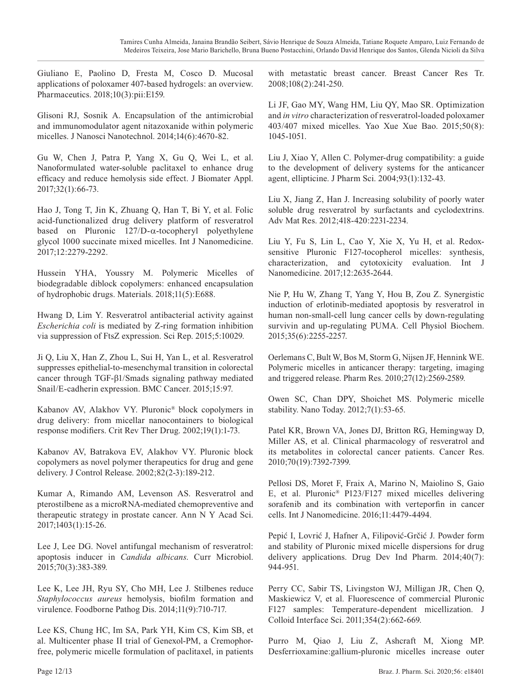Giuliano E, Paolino D, Fresta M, Cosco D. Mucosal applications of poloxamer 407-based hydrogels: an overview. Pharmaceutics. 2018;10(3):pii:E159.

Glisoni RJ, Sosnik A. Encapsulation of the antimicrobial and immunomodulator agent nitazoxanide within polymeric micelles. J Nanosci Nanotechnol. 2014;14(6):4670-82.

Gu W, Chen J, Patra P, Yang X, Gu Q, Wei L, et al. Nanoformulated water-soluble paclitaxel to enhance drug efficacy and reduce hemolysis side effect. J Biomater Appl. 2017;32(1):66-73.

Hao J, Tong T, Jin K, Zhuang Q, Han T, Bi Y, et al. Folic acid-functionalized drug delivery platform of resveratrol based on Pluronic 127/D-α-tocopheryl polyethylene glycol 1000 succinate mixed micelles. Int J Nanomedicine. 2017;12:2279-2292.

Hussein YHA, Youssry M. Polymeric Micelles of biodegradable diblock copolymers: enhanced encapsulation of hydrophobic drugs. Materials. 2018;11(5):E688.

Hwang D, Lim Y. Resveratrol antibacterial activity against *Escherichia coli* is mediated by Z-ring formation inhibition via suppression of FtsZ expression. Sci Rep. 2015;5:10029.

Ji Q, Liu X, Han Z, Zhou L, Sui H, Yan L, et al. Resveratrol suppresses epithelial-to-mesenchymal transition in colorectal cancer through TGF-β1/Smads signaling pathway mediated Snail/E-cadherin expression. BMC Cancer. 2015;15:97.

Kabanov AV, Alakhov VY. Pluronic® block copolymers in drug delivery: from micellar nanocontainers to biological response modifiers. Crit Rev Ther Drug. 2002;19(1):1-73.

Kabanov AV, Batrakova EV, Alakhov VY. Pluronic block copolymers as novel polymer therapeutics for drug and gene delivery. J Control Release. 2002;82(2-3):189-212.

Kumar A, Rimando AM, Levenson AS. Resveratrol and pterostilbene as a microRNA-mediated chemopreventive and therapeutic strategy in prostate cancer. Ann N Y Acad Sci. 2017;1403(1):15-26.

Lee J, Lee DG. Novel antifungal mechanism of resveratrol: apoptosis inducer in *Candida albicans*. Curr Microbiol. 2015;70(3):383-389.

Lee K, Lee JH, Ryu SY, Cho MH, Lee J. Stilbenes reduce *Staphylococcus aureus* hemolysis, biofilm formation and virulence. Foodborne Pathog Dis. 2014;11(9):710-717.

Lee KS, Chung HC, Im SA, Park YH, Kim CS, Kim SB, et al. Multicenter phase II trial of Genexol-PM, a Cremophorfree, polymeric micelle formulation of paclitaxel, in patients

with metastatic breast cancer. Breast Cancer Res Tr. 2008;108(2):241-250.

Li JF, Gao MY, Wang HM, Liu QY, Mao SR. Optimization and *in vitro* characterization of resveratrol-loaded poloxamer 403/407 mixed micelles. Yao Xue Xue Bao. 2015;50(8): 1045-1051.

Liu J, Xiao Y, Allen C. Polymer-drug compatibility: a guide to the development of delivery systems for the anticancer agent, ellipticine. J Pharm Sci. 2004;93(1):132-43.

Liu X, Jiang Z, Han J. Increasing solubility of poorly water soluble drug resveratrol by surfactants and cyclodextrins. Adv Mat Res. 2012;418-420:2231-2234.

Liu Y, Fu S, Lin L, Cao Y, Xie X, Yu H, et al. Redoxsensitive Pluronic F127-tocopherol micelles: synthesis, characterization, and cytotoxicity evaluation. Int J Nanomedicine. 2017;12:2635-2644.

Nie P, Hu W, Zhang T, Yang Y, Hou B, Zou Z. Synergistic induction of erlotinib-mediated apoptosis by resveratrol in human non-small-cell lung cancer cells by down-regulating survivin and up-regulating PUMA. Cell Physiol Biochem. 2015;35(6):2255-2257.

Oerlemans C, Bult W, Bos M, Storm G, Nijsen JF, Hennink WE. Polymeric micelles in anticancer therapy: targeting, imaging and triggered release. Pharm Res. 2010;27(12):2569-2589.

Owen SC, Chan DPY, Shoichet MS. Polymeric micelle stability. Nano Today. 2012;7(1):53-65.

Patel KR, Brown VA, Jones DJ, Britton RG, Hemingway D, Miller AS, et al. Clinical pharmacology of resveratrol and its metabolites in colorectal cancer patients. Cancer Res. 2010;70(19):7392-7399.

Pellosi DS, Moret F, Fraix A, Marino N, Maiolino S, Gaio E, et al. Pluronic® P123/F127 mixed micelles delivering sorafenib and its combination with verteporfin in cancer cells. Int J Nanomedicine. 2016;11:4479-4494.

Pepić I, Lovrić J, Hafner A, Filipović-Grčić J. Powder form and stability of Pluronic mixed micelle dispersions for drug delivery applications. Drug Dev Ind Pharm. 2014;40(7): 944-951.

Perry CC, Sabir TS, Livingston WJ, Milligan JR, Chen Q, Maskiewicz V, et al. Fluorescence of commercial Pluronic F127 samples: Temperature-dependent micellization. J Colloid Interface Sci. 2011;354(2):662-669.

Purro M, Qiao J, Liu Z, Ashcraft M, Xiong MP. Desferrioxamine:gallium-pluronic micelles increase outer